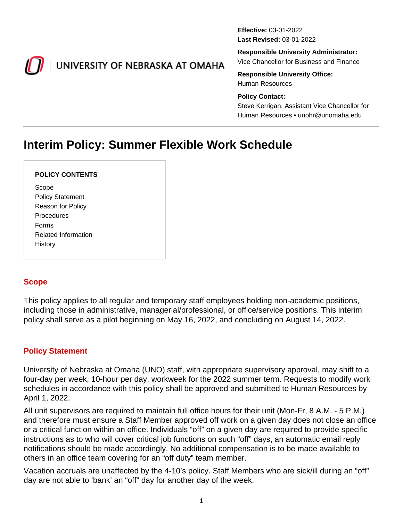<span id="page-0-0"></span>

# UNIVERSITY OF NEBRASKA AT OMAHA

**Effective:** 03-01-2022 **Last Revised:** 03-01-2022

**Responsible University Administrator:**

Vice Chancellor for Business and Finance

**Responsible University Office:** Human Resources

#### **Policy Contact:**

Steve Kerrigan, Assistant Vice Chancellor for Human Resources • unohr@unomaha.edu

# **Interim Policy: Summer Flexible Work Schedule**

#### **POLICY CONTENTS**

Scope Policy Statement Reason for Policy **Procedures** Forms Related Information History

## **Scope**

This policy applies to all regular and temporary staff employees holding non-academic positions, including those in administrative, managerial/professional, or office/service positions. This interim policy shall serve as a pilot beginning on May 16, 2022, and concluding on August 14, 2022.

## **Policy Statement**

University of Nebraska at Omaha (UNO) staff, with appropriate supervisory approval, may shift to a four-day per week, 10-hour per day, workweek for the 2022 summer term. Requests to modify work schedules in accordance with this policy shall be approved and submitted to Human Resources by April 1, 2022.

All unit supervisors are required to maintain full office hours for their unit (Mon-Fr, 8 A.M. - 5 P.M.) and therefore must ensure a Staff Member approved off work on a given day does not close an office or a critical function within an office. Individuals "off" on a given day are required to provide specific instructions as to who will cover critical job functions on such "off" days, an automatic email reply notifications should be made accordingly. No additional compensation is to be made available to others in an office team covering for an "off duty" team member.

Vacation accruals are unaffected by the 4-10's policy. Staff Members who are sick/ill during an "off" day are not able to 'bank' an "off" day for another day of the week.